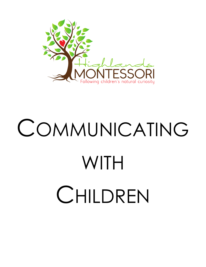

# COMMUNICATING **WITH** CHILDREN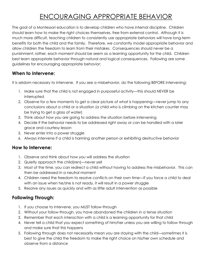# ENCOURAGING APPROPRIATE BEHAVIOR

The goal of a Montessori education is to develop children who have internal discipline. Children should learn how to make the right choices themselves, free from external control. Although it is much more difficult, teaching children to consistently use appropriate behaviors will have long-term benefits for both the child and the family. Therefore, we constantly model appropriate behavior and allow children the freedom to learn from their mistakes. Consequences should never be a punishment; rather, each moment should be seem as a learning opportunity for the child. Children best learn appropriate behavior through natural and logical consequences. Following are some guidelines for encouraging appropriate behavior:

## **When to Intervene:**

It is seldom necessary to intervene. If you see a misbehavior, do the following BEFORE intervening:

- 1. Make sure that the child is not engaged in purposeful activity—this should NEVER be interrupted
- 2. Observe for a few moments to get a clear picture of what is happening—never jump to any conclusions about a child or a situation (a child who is climbing on the kitchen counter may be trying to get a glass of water)
- 3. Think about how you are going to address the situation before intervening
- 4. Decide if the behavior needs to be addressed right away or can be handled with a later grace and courtesy lesson
- 5. Never enter into a power struggle
- 6. Always intervene if a child is harming another person or exhibiting destructive behavior

## **How to Intervene:**

- 1. Observe and think about how you will address the situation
- 2. Quietly approach the child(ren)—never yell
- 3. Most of the time, you can redirect a child without having to address the misbehavior. This can then be addressed in a neutral moment
- 4. Children need the freedom to resolve conflicts on their own time—if you force a child to deal with an issue when he/she is not ready, it will result in a power struggle
- 5. Resolve any issues as quickly and with as little adult intervention as possible

## **Following Through:**

- 1. If you choose to intervene, you MUST follow-through
- 2. Without your follow-through, you have abandoned the children in a tense situation
- 3. Remember that each interaction with a child is a learning opportunity for that child
- 4. Never tell a child that you expect something of him/her unless you are willing to follow through and make sure that this happens
- 5. Following through does not necessarily mean you are staying with the child—sometimes it is best to give the child the freedom to make the right choice on his/her own schedule and observe from a distance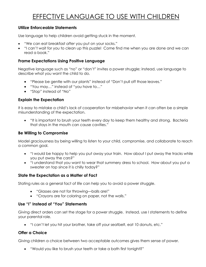# EFFECTIVE LANGUAGE TO USE WITH CHILDREN

#### **Utilize Enforceable Statements**

Use language to help children avoid getting stuck in the moment.

- "We can eat breakfast *after* you put on your socks."
- "I can't wait for you to clean up this puzzle! Come find me when you are done and we can read a book."

#### **Frame Expectations Using Positive Language**

Negative language such as "no" or "don't" invites a power struggle; instead, use language to describe what you want the child to do.

- "Please be gentle with our plants" instead of "Don't pull off those leaves."
- "You may…" instead of "you have to…"
- "Stop" instead of "No"

#### **Explain the Expectation**

It is easy to mistake a child's lack of cooperation for misbehavior when it can often be a simple misunderstanding of the expectation.

• "It is important to brush your teeth every day to keep them healthy and strong. Bacteria that stays in the mouth can cause cavities."

#### **Be Willing to Compromise**

Model graciousness by being willing to listen to your child, compromise, and collaborate to reach a common goal.

- "I would be happy to help you put away your train. How about I put away the tracks while you put away the cars?"
- "I understand that you want to wear that summery dress to school. How about you put a sweater on top since it is chilly today?"

#### **State the Expectation as a Matter of Fact**

Stating rules as a general fact of life can help you to avoid a power struggle.

- "Glasses are not for throwing—balls are!"
- "Crayons are for coloring on paper, not the walls."

#### **Use "I" Instead of "You" Statements**

Giving direct orders can set the stage for a power struggle. Instead, use I statements to define your parental role.

• "I can't let you hit your brother, take off your seatbelt, eat 10 donuts, etc."

#### **Offer a Choice**

Giving children a choice between two acceptable outcomes gives them sense of power.

• "Would you like to brush your teeth or take a bath first tonight?"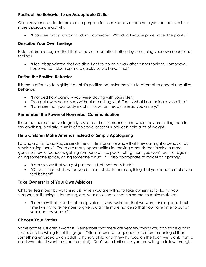#### **Redirect the Behavior to an Acceptable Outlet**

Observe your child to determine the purpose for his misbehavior can help you redirect him to a more appropriate activity.

• "I can see that you want to dump out water. Why don't you help me water the plants!"

#### **Describe Your Own Feelings**

Help children recognize that their behaviors can affect others by describing your own needs and feelings.

• "I feel disappointed that we didn't get to go on a walk after dinner tonight. Tomorrow I hope we can clean up more quickly so we have time!"

#### **Define the Positive Behavior**

It is more effective to highlight a child's positive behavior than it is to attempt to correct negative behavior.

- "I noticed how carefully you were playing with your sister."
- "You put away your dishes without me asking you! That is what I call being responsible."
- "I can see that your body is calm! Now I am ready to read you a story."

#### **Remember the Power of Nonverbal Communication**

It can be more effective to gently rest a hand on someone's arm when they are hitting than to say anything. Similarly, a smile of approval or serious look can hold a lot of weight.

#### **Help Children Make Amends Instead of Simply Apologizing**

Forcing a child to apologize sends the unintentional message that they can right a behavior by simply saying "sorry". There are many opportunities for making amends that involve a more genuine show of concern: getting someone an ice pack, telling them you won't do that again, giving someone space, giving someone a hug. It is also appropriate to model an apology.

- "I am so sorry that you got pushed—I bet that really hurts!"
- "Ouch! It hurt Alicia when you bit her. Alicia, is there anything that you need to make you feel better?"

#### **Take Ownership of Your Own Mistakes**

Children learn best by watching us! When you are willing to take ownership for losing your temper, not listening, interrupting, etc. your child learns that it is normal to make mistakes.

• "I am sorry that I used such a big voice! I was frustrated that we were running late. Next time I will try to remember to give you a little more notice so that you have time to put on your coat by yourself."

#### **Choose Your Battles**

Some battles just aren't worth it. Remember that there are very few things you can force a child to do, and be willing to let things go. Often natural consequences are more meaningful than something enforced by an adult (a hungry child who threw his food on the floor, wet pants from a child who didn't want to sit on the toilet). Don't set a limit unless you are willing to follow through.